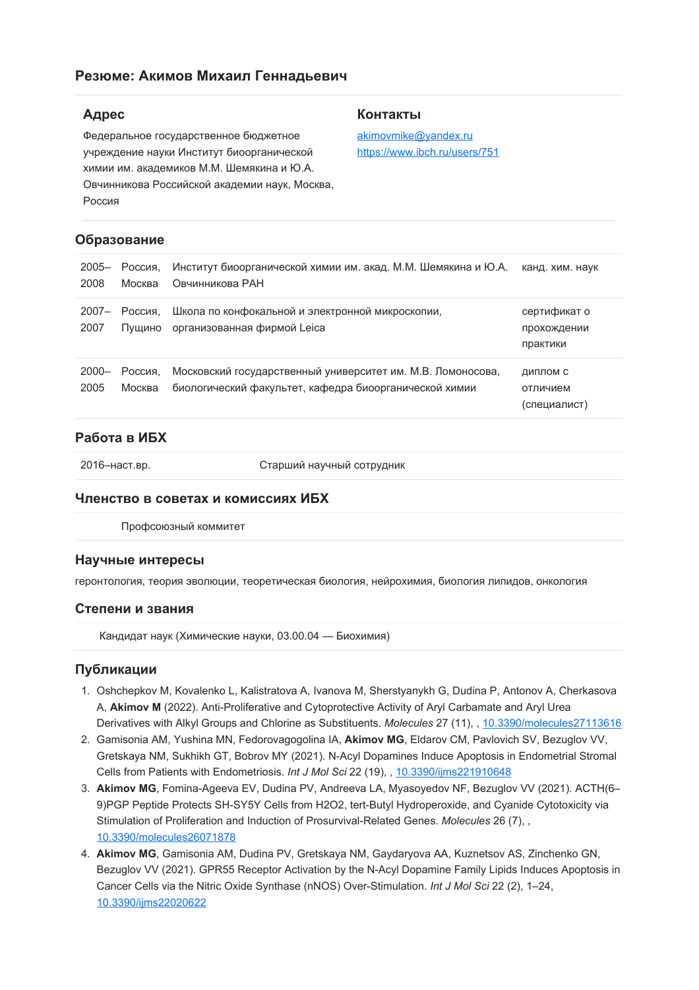# **Резюме: Акимов Михаил Геннадьевич**

# **Адрес**

Федеральное государственное бюджетное учреждение науки Институт биоорганической химии им. академиков М.М. Шемякина и Ю.А. Овчинникова Российской академии наук, Москва, Россия

### **Образование**

| $2005 -$<br>2008 | Россия.<br>Москва | Институт биоорганической химии им. акад. М.М. Шемякина и Ю.А.<br>Овчинникова РАН                                      | канд. хим. наук                         |
|------------------|-------------------|-----------------------------------------------------------------------------------------------------------------------|-----------------------------------------|
| $2007 -$<br>2007 | Россия.<br>Пушино | Школа по конфокальной и электронной микроскопии,<br>организованная фирмой Leica                                       | сертификат о<br>прохождении<br>практики |
| $2000 -$<br>2005 | Россия.<br>Москва | Московский государственный университет им. М.В. Ломоносова,<br>биологический факультет, кафедра биоорганической химии | ДИПЛОМ С<br>отличием<br>(специалист)    |

# **Работа в ИБХ**

2016–наст.вр. Старший научный сотрудник

### **Членство в советах и комиссиях ИБХ**

Профсоюзный коммитет

### **Научные интересы**

геронтология, теория эволюции, теоретическая биология, нейрохимия, биология липидов, онкология

### **Степени и звания**

Кандидат наук (Химические науки, 03.00.04 — Биохимия)

### **Публикации**

- 1. Oshchepkov M, Kovalenko L, Kalistratova A, Ivanova M, Sherstyanykh G, Dudina P, Antonov A, Cherkasova A, **Akimov M** (2022). Anti-Proliferative and Cytoprotective Activity of Aryl Carbamate and Aryl Urea Derivatives with Alkyl Groups and Chlorine as Substituents. *Molecules* 27 (11), , [10.3390/molecules27113616](https://doi.org/10.3390/molecules27113616)
- 2. Gamisonia AM, Yushina MN, Fedorovagogolina IA, **Akimov MG**, Eldarov CM, Pavlovich SV, Bezuglov VV, Gretskaya NM, Sukhikh GT, Bobrov MY (2021). N-Acyl Dopamines Induce Apoptosis in Endometrial Stromal Cells from Patients with Endometriosis. *Int J Mol Sci* 22 (19), , [10.3390/ijms221910648](https://doi.org/10.3390/ijms221910648)
- 3. **Akimov MG**, Fomina-Ageeva EV, Dudina PV, Andreeva LA, Myasoyedov NF, Bezuglov VV (2021). ACTH(6– 9)PGP Peptide Protects SH-SY5Y Cells from H2O2, tert-Butyl Hydroperoxide, and Cyanide Cytotoxicity via Stimulation of Proliferation and Induction of Prosurvival-Related Genes. *Molecules* 26 (7), , [10.3390/molecules26071878](https://doi.org/10.3390/molecules26071878)
- 4. **Akimov MG**, Gamisonia AM, Dudina PV, Gretskaya NM, Gaydaryova AA, Kuznetsov AS, Zinchenko GN, Bezuglov VV (2021). GPR55 Receptor Activation by the N-Acyl Dopamine Family Lipids Induces Apoptosis in Cancer Cells via the Nitric Oxide Synthase (nNOS) Over-Stimulation. *Int J Mol Sci* 22 (2), 1–24, [10.3390/ijms22020622](https://doi.org/10.3390/ijms22020622)

#### **Контакты**

[akimovmike@yandex.ru](mailto:akimovmike@yandex.ru) <https://www.ibch.ru/users/751>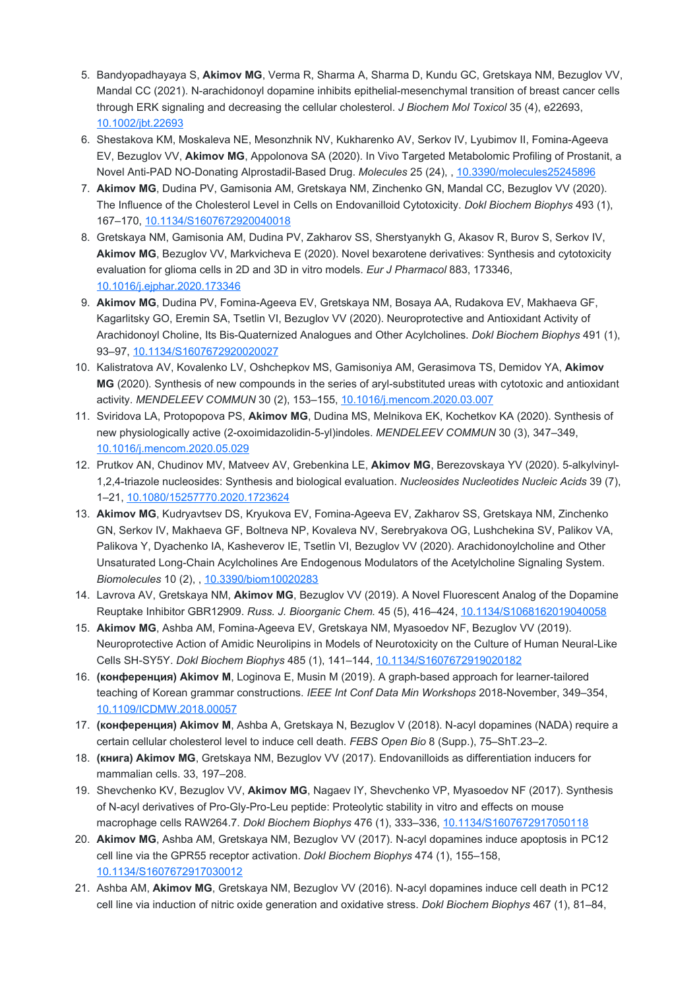- 5. Bandyopadhayaya S, **Akimov MG**, Verma R, Sharma A, Sharma D, Kundu GC, Gretskaya NM, Bezuglov VV, Mandal CC (2021). N-arachidonoyl dopamine inhibits epithelial-mesenchymal transition of breast cancer cells through ERK signaling and decreasing the cellular cholesterol. *J Biochem Mol Toxicol* 35 (4), e22693, [10.1002/jbt.22693](https://doi.org/10.1002/jbt.22693)
- 6. Shestakova KM, Moskaleva NE, Mesonzhnik NV, Kukharenko AV, Serkov IV, Lyubimov II, Fomina-Ageeva EV, Bezuglov VV, **Akimov MG**, Appolonova SA (2020). In Vivo Targeted Metabolomic Profiling of Prostanit, a Novel Anti-PAD NO-Donating Alprostadil-Based Drug. *Molecules* 25 (24), , [10.3390/molecules25245896](https://doi.org/10.3390/molecules25245896)
- 7. **Akimov MG**, Dudina PV, Gamisonia AM, Gretskaya NM, Zinchenko GN, Mandal CC, Bezuglov VV (2020). The Influence of the Cholesterol Level in Cells on Endovanilloid Cytotoxicity. *Dokl Biochem Biophys* 493 (1), 167–170, [10.1134/S1607672920040018](https://doi.org/10.1134/S1607672920040018)
- 8. Gretskaya NM, Gamisonia AM, Dudina PV, Zakharov SS, Sherstyanykh G, Akasov R, Burov S, Serkov IV, **Akimov MG**, Bezuglov VV, Markvicheva E (2020). Novel bexarotene derivatives: Synthesis and cytotoxicity evaluation for glioma cells in 2D and 3D in vitro models. *Eur J Pharmacol* 883, 173346, [10.1016/j.ejphar.2020.173346](https://doi.org/10.1016/j.ejphar.2020.173346)
- 9. **Akimov MG**, Dudina PV, Fomina-Ageeva EV, Gretskaya NM, Bosaya AA, Rudakova EV, Makhaeva GF, Kagarlitsky GO, Eremin SA, Tsetlin VI, Bezuglov VV (2020). Neuroprotective and Antioxidant Activity of Arachidonoyl Choline, Its Bis-Quaternized Analogues and Other Acylcholines. *Dokl Biochem Biophys* 491 (1), 93–97, [10.1134/S1607672920020027](https://doi.org/10.1134/S1607672920020027)
- 10. Kalistratova AV, Kovalenko LV, Oshchepkov MS, Gamisoniya AM, Gerasimova TS, Demidov YA, **Akimov MG** (2020). Synthesis of new compounds in the series of aryl-substituted ureas with cytotoxic and antioxidant activity. *MENDELEEV COMMUN* 30 (2), 153–155, [10.1016/j.mencom.2020.03.007](https://doi.org/10.1016/j.mencom.2020.03.007)
- 11. Sviridova LA, Protopopova PS, **Akimov MG**, Dudina MS, Melnikova EK, Kochetkov KA (2020). Synthesis of new physiologically active (2-oxoimidazolidin-5-yl)indoles. *MENDELEEV COMMUN* 30 (3), 347–349, [10.1016/j.mencom.2020.05.029](https://doi.org/10.1016/j.mencom.2020.05.029)
- 12. Prutkov AN, Chudinov MV, Matveev AV, Grebenkina LE, **Akimov MG**, Berezovskaya YV (2020). 5-alkylvinyl-1,2,4-triazole nucleosides: Synthesis and biological evaluation. *Nucleosides Nucleotides Nucleic Acids* 39 (7), 1–21, [10.1080/15257770.2020.1723624](https://doi.org/10.1080/15257770.2020.1723624)
- 13. **Akimov MG**, Kudryavtsev DS, Kryukova EV, Fomina-Ageeva EV, Zakharov SS, Gretskaya NM, Zinchenko GN, Serkov IV, Makhaeva GF, Boltneva NP, Kovaleva NV, Serebryakova OG, Lushchekina SV, Palikov VA, Palikova Y, Dyachenko IA, Kasheverov IE, Tsetlin VI, Bezuglov VV (2020). Arachidonoylcholine and Other Unsaturated Long-Chain Acylcholines Are Endogenous Modulators of the Acetylcholine Signaling System. *Biomolecules* 10 (2), , [10.3390/biom10020283](https://doi.org/10.3390/biom10020283)
- 14. Lavrova AV, Gretskaya NM, **Akimov MG**, Bezuglov VV (2019). A Novel Fluorescent Analog of the Dopamine Reuptake Inhibitor GBR12909. *Russ. J. Bioorganic Chem.* 45 (5), 416–424, [10.1134/S1068162019040058](https://doi.org/10.1134/S1068162019040058)
- 15. **Akimov MG**, Ashba AM, Fomina-Ageeva EV, Gretskaya NM, Myasoedov NF, Bezuglov VV (2019). Neuroprotective Action of Amidic Neurolipins in Models of Neurotoxicity on the Culture of Human Neural-Like Cells SH-SY5Y. *Dokl Biochem Biophys* 485 (1), 141–144, [10.1134/S1607672919020182](https://doi.org/10.1134/S1607672919020182)
- 16. **(конференция) Akimov M**, Loginova E, Musin M (2019). A graph-based approach for learner-tailored teaching of Korean grammar constructions. *IEEE Int Conf Data Min Workshops* 2018-November, 349–354, [10.1109/ICDMW.2018.00057](https://doi.org/10.1109/ICDMW.2018.00057)
- 17. **(конференция) Akimov M**, Ashba A, Gretskaya N, Bezuglov V (2018). N-acyl dopamines (NADA) require a certain cellular cholesterol level to induce cell death. *FEBS Open Bio* 8 (Supp.), 75–ShT.23–2.
- 18. **(книга) Akimov MG**, Gretskaya NM, Bezuglov VV (2017). Endovanilloids as differentiation inducers for mammalian cells. 33, 197–208.
- 19. Shevchenko KV, Bezuglov VV, **Akimov MG**, Nagaev IY, Shevchenko VP, Myasoedov NF (2017). Synthesis of N-acyl derivatives of Pro-Gly-Pro-Leu peptide: Proteolytic stability in vitro and effects on mouse macrophage cells RAW264.7. *Dokl Biochem Biophys* 476 (1), 333–336, [10.1134/S1607672917050118](https://doi.org/10.1134/S1607672917050118)
- 20. **Akimov MG**, Ashba AM, Gretskaya NM, Bezuglov VV (2017). N-acyl dopamines induce apoptosis in PC12 cell line via the GPR55 receptor activation. *Dokl Biochem Biophys* 474 (1), 155–158, [10.1134/S1607672917030012](https://doi.org/10.1134/S1607672917030012)
- 21. Ashba AM, **Akimov MG**, Gretskaya NM, Bezuglov VV (2016). N-acyl dopamines induce cell death in PC12 cell line via induction of nitric oxide generation and oxidative stress. *Dokl Biochem Biophys* 467 (1), 81–84,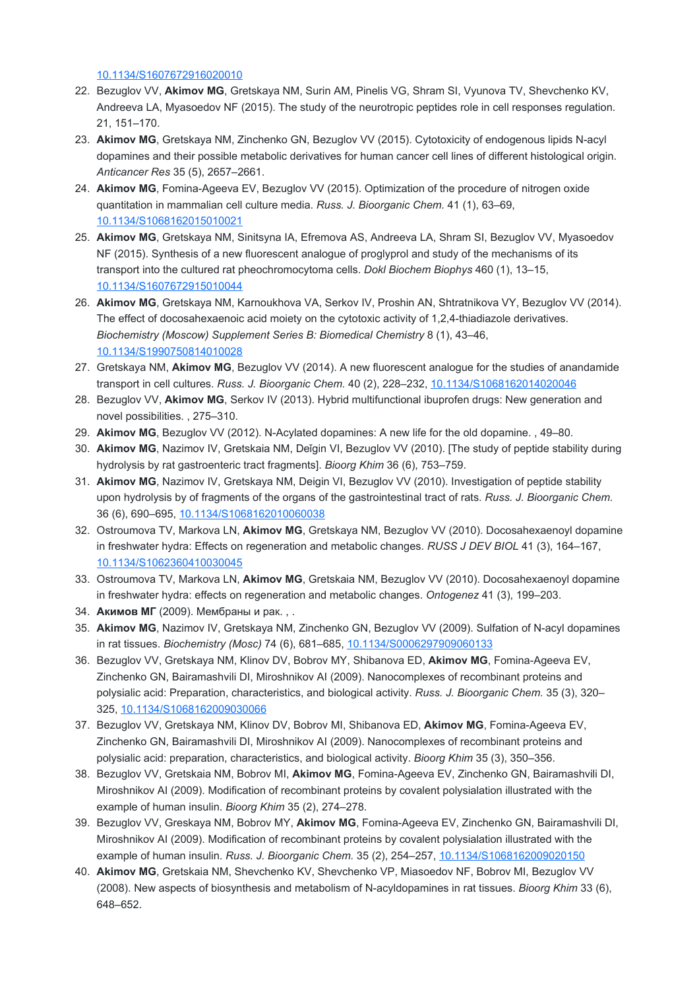[10.1134/S1607672916020010](https://doi.org/10.1134/S1607672916020010)

- 22. Bezuglov VV, **Akimov MG**, Gretskaya NM, Surin AM, Pinelis VG, Shram SI, Vyunova TV, Shevchenko KV, Andreeva LA, Myasoedov NF (2015). The study of the neurotropic peptides role in cell responses regulation. 21, 151–170.
- 23. **Akimov MG**, Gretskaya NM, Zinchenko GN, Bezuglov VV (2015). Cytotoxicity of endogenous lipids N-acyl dopamines and their possible metabolic derivatives for human cancer cell lines of different histological origin. *Anticancer Res* 35 (5), 2657–2661.
- 24. **Akimov MG**, Fomina-Ageeva EV, Bezuglov VV (2015). Optimization of the procedure of nitrogen oxide quantitation in mammalian cell culture media. *Russ. J. Bioorganic Chem.* 41 (1), 63–69, [10.1134/S1068162015010021](https://doi.org/10.1134/S1068162015010021)
- 25. **Akimov MG**, Gretskaya NM, Sinitsyna IA, Efremova AS, Andreeva LA, Shram SI, Bezuglov VV, Myasoedov NF (2015). Synthesis of a new fluorescent analogue of proglyprol and study of the mechanisms of its transport into the cultured rat pheochromocytoma cells. *Dokl Biochem Biophys* 460 (1), 13–15, [10.1134/S1607672915010044](https://doi.org/10.1134/S1607672915010044)
- 26. **Akimov MG**, Gretskaya NM, Karnoukhova VA, Serkov IV, Proshin AN, Shtratnikova VY, Bezuglov VV (2014). The effect of docosahexaenoic acid moiety on the cytotoxic activity of 1,2,4-thiadiazole derivatives. *Biochemistry (Moscow) Supplement Series B: Biomedical Chemistry* 8 (1), 43–46, [10.1134/S1990750814010028](https://doi.org/10.1134/S1990750814010028)
- 27. Gretskaya NM, **Akimov MG**, Bezuglov VV (2014). A new fluorescent analogue for the studies of anandamide transport in cell cultures. *Russ. J. Bioorganic Chem.* 40 (2), 228–232, [10.1134/S1068162014020046](https://doi.org/10.1134/S1068162014020046)
- 28. Bezuglov VV, **Akimov MG**, Serkov IV (2013). Hybrid multifunctional ibuprofen drugs: New generation and novel possibilities. , 275–310.
- 29. **Akimov MG**, Bezuglov VV (2012). N-Acylated dopamines: A new life for the old dopamine. , 49–80.
- 30. **Akimov MG**, Nazimov IV, Gretskaia NM, Deǐgin VI, Bezuglov VV (2010). [The study of peptide stability during hydrolysis by rat gastroenteric tract fragments]. *Bioorg Khim* 36 (6), 753–759.
- 31. **Akimov MG**, Nazimov IV, Gretskaya NM, Deigin VI, Bezuglov VV (2010). Investigation of peptide stability upon hydrolysis by of fragments of the organs of the gastrointestinal tract of rats. *Russ. J. Bioorganic Chem.* 36 (6), 690–695, [10.1134/S1068162010060038](https://doi.org/10.1134/S1068162010060038)
- 32. Ostroumova TV, Markova LN, **Akimov MG**, Gretskaya NM, Bezuglov VV (2010). Docosahexaenoyl dopamine in freshwater hydra: Effects on regeneration and metabolic changes. *RUSS J DEV BIOL* 41 (3), 164–167, [10.1134/S1062360410030045](https://doi.org/10.1134/S1062360410030045)
- 33. Ostroumova TV, Markova LN, **Akimov MG**, Gretskaia NM, Bezuglov VV (2010). Docosahexaenoyl dopamine in freshwater hydra: effects on regeneration and metabolic changes. *Ontogenez* 41 (3), 199–203.
- 34. **Акимов МГ** (2009). Мембраны и рак. , .
- 35. **Akimov MG**, Nazimov IV, Gretskaya NM, Zinchenko GN, Bezuglov VV (2009). Sulfation of N-acyl dopamines in rat tissues. *Biochemistry (Mosc)* 74 (6), 681–685, [10.1134/S0006297909060133](https://doi.org/10.1134/S0006297909060133)
- 36. Bezuglov VV, Gretskaya NM, Klinov DV, Bobrov MY, Shibanova ED, **Akimov MG**, Fomina-Ageeva EV, Zinchenko GN, Bairamashvili DI, Miroshnikov AI (2009). Nanocomplexes of recombinant proteins and polysialic acid: Preparation, characteristics, and biological activity. *Russ. J. Bioorganic Chem.* 35 (3), 320– 325, [10.1134/S1068162009030066](https://doi.org/10.1134/S1068162009030066)
- 37. Bezuglov VV, Gretskaya NM, Klinov DV, Bobrov MI, Shibanova ED, **Akimov MG**, Fomina-Ageeva EV, Zinchenko GN, Bairamashvili DI, Miroshnikov AI (2009). Nanocomplexes of recombinant proteins and polysialic acid: preparation, characteristics, and biological activity. *Bioorg Khim* 35 (3), 350–356.
- 38. Bezuglov VV, Gretskaia NM, Bobrov MI, **Akimov MG**, Fomina-Ageeva EV, Zinchenko GN, Bairamashvili DI, Miroshnikov AI (2009). Modification of recombinant proteins by covalent polysialation illustrated with the example of human insulin. *Bioorg Khim* 35 (2), 274–278.
- 39. Bezuglov VV, Greskaya NM, Bobrov MY, **Akimov MG**, Fomina-Ageeva EV, Zinchenko GN, Bairamashvili DI, Miroshnikov AI (2009). Modification of recombinant proteins by covalent polysialation illustrated with the example of human insulin. *Russ. J. Bioorganic Chem.* 35 (2), 254–257, [10.1134/S1068162009020150](https://doi.org/10.1134/S1068162009020150)
- 40. **Akimov MG**, Gretskaia NM, Shevchenko KV, Shevchenko VP, Miasoedov NF, Bobrov MI, Bezuglov VV (2008). New aspects of biosynthesis and metabolism of N-acyldopamines in rat tissues. *Bioorg Khim* 33 (6), 648–652.